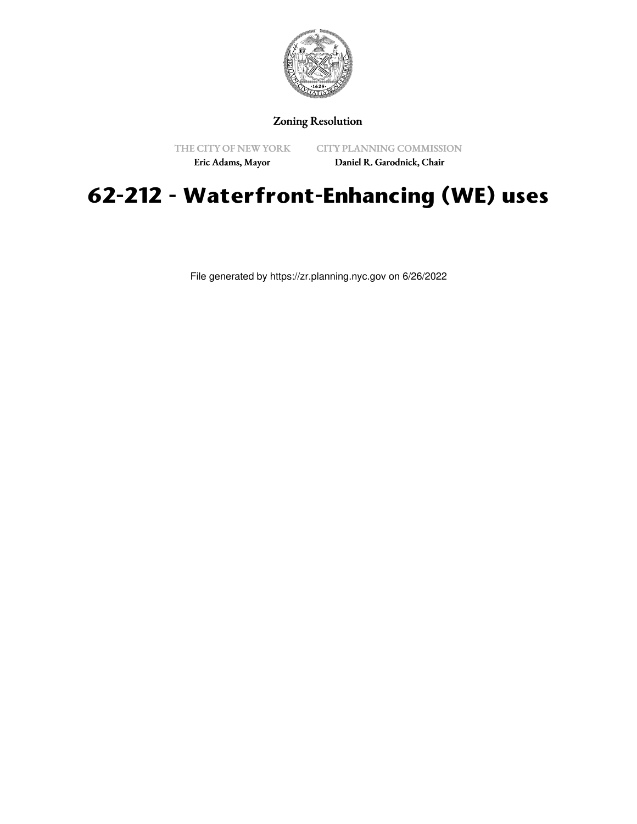

# Zoning Resolution

THE CITY OF NEW YORK

CITY PLANNING COMMISSION

Eric Adams, Mayor

Daniel R. Garodnick, Chair

# **62-212 - Waterfront-Enhancing (WE) uses**

File generated by https://zr.planning.nyc.gov on 6/26/2022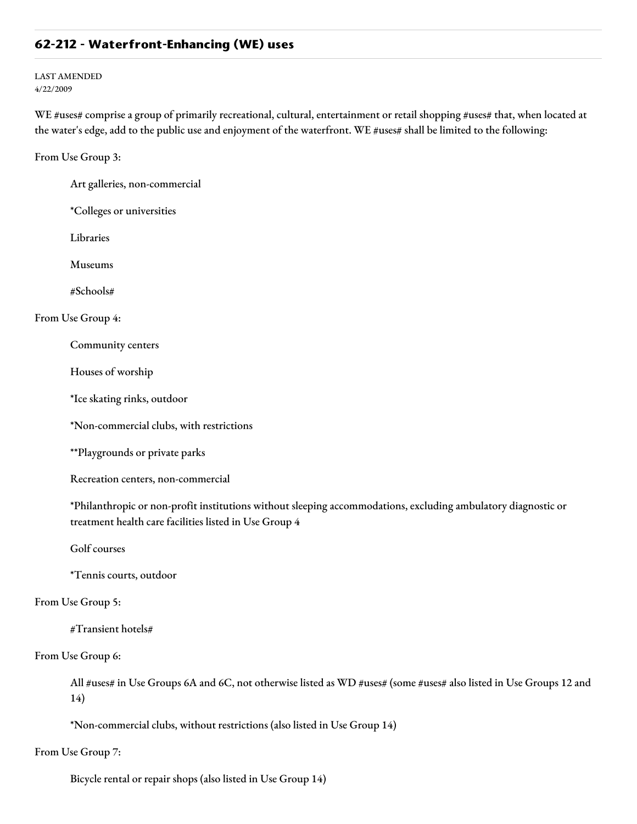## **62-212 - Waterfront-Enhancing (WE) uses**

LAST AMENDED 4/22/2009

WE #uses# comprise a group of primarily recreational, cultural, entertainment or retail shopping #uses# that, when located at the water's edge, add to the public use and enjoyment of the waterfront. WE #uses# shall be limited to the following:

From Use Group 3:

Art galleries, non-commercial

\*Colleges or universities

Libraries

Museums

#Schools#

#### From Use Group 4:

Community centers

Houses of worship

\*Ice skating rinks, outdoor

\*Non-commercial clubs, with restrictions

\*\*Playgrounds or private parks

Recreation centers, non-commercial

\*Philanthropic or non-profit institutions without sleeping accommodations, excluding ambulatory diagnostic or treatment health care facilities listed in Use Group 4

Golf courses

\*Tennis courts, outdoor

## From Use Group 5:

#Transient hotels#

From Use Group 6:

All #uses# in Use Groups 6A and 6C, not otherwise listed as WD #uses# (some #uses# also listed in Use Groups 12 and 14)

\*Non-commercial clubs, without restrictions (also listed in Use Group 14)

From Use Group 7:

Bicycle rental or repair shops (also listed in Use Group 14)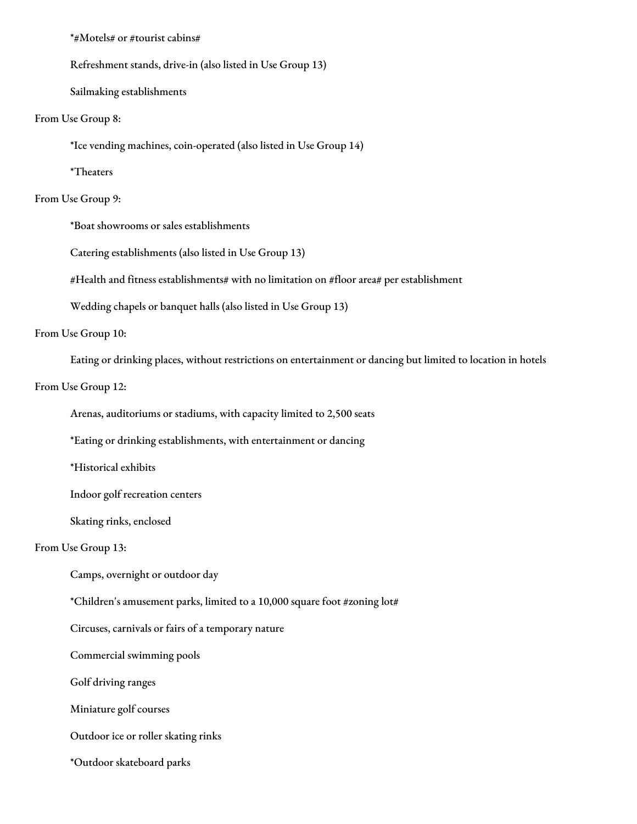#### \*#Motels# or #tourist cabins#

Refreshment stands, drive-in (also listed in Use Group 13)

Sailmaking establishments

From Use Group 8:

\*Ice vending machines, coin-operated (also listed in Use Group 14)

\*Theaters

## From Use Group 9:

\*Boat showrooms or sales establishments

Catering establishments (also listed in Use Group 13)

#Health and fitness establishments# with no limitation on #floor area# per establishment

Wedding chapels or banquet halls (also listed in Use Group 13)

From Use Group 10:

Eating or drinking places, without restrictions on entertainment or dancing but limited to location in hotels

From Use Group 12:

Arenas, auditoriums or stadiums, with capacity limited to 2,500 seats

\*Eating or drinking establishments, with entertainment or dancing

\*Historical exhibits

Indoor golf recreation centers

Skating rinks, enclosed

### From Use Group 13:

Camps, overnight or outdoor day

\*Children's amusement parks, limited to a 10,000 square foot #zoning lot#

Circuses, carnivals or fairs of a temporary nature

Commercial swimming pools

Golf driving ranges

Miniature golf courses

Outdoor ice or roller skating rinks

\*Outdoor skateboard parks